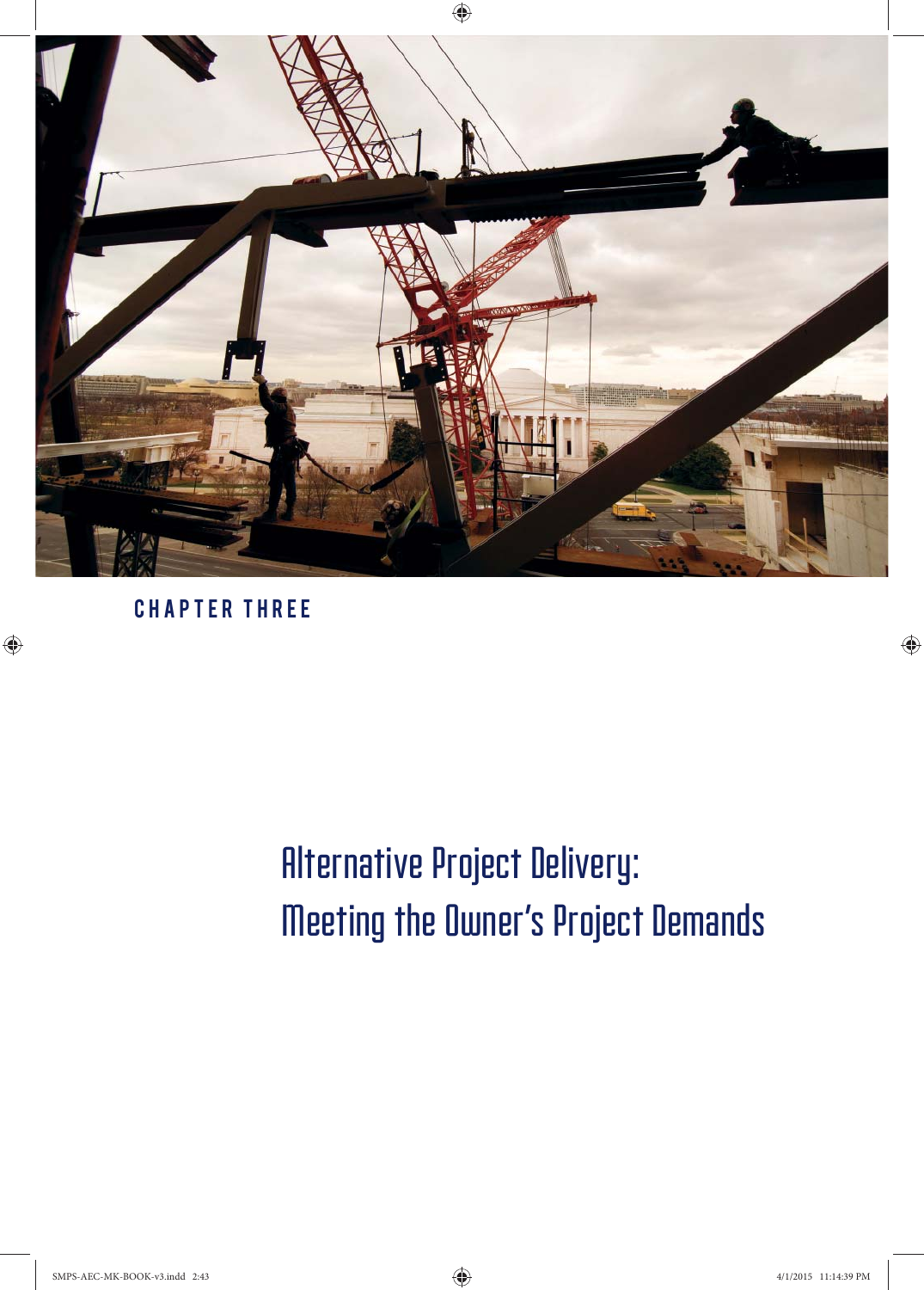

CHAPTER THREE

 $\bigoplus$ 

# Alternative Project Delivery: Meeting the Owner's Project Demands

 $\bigoplus$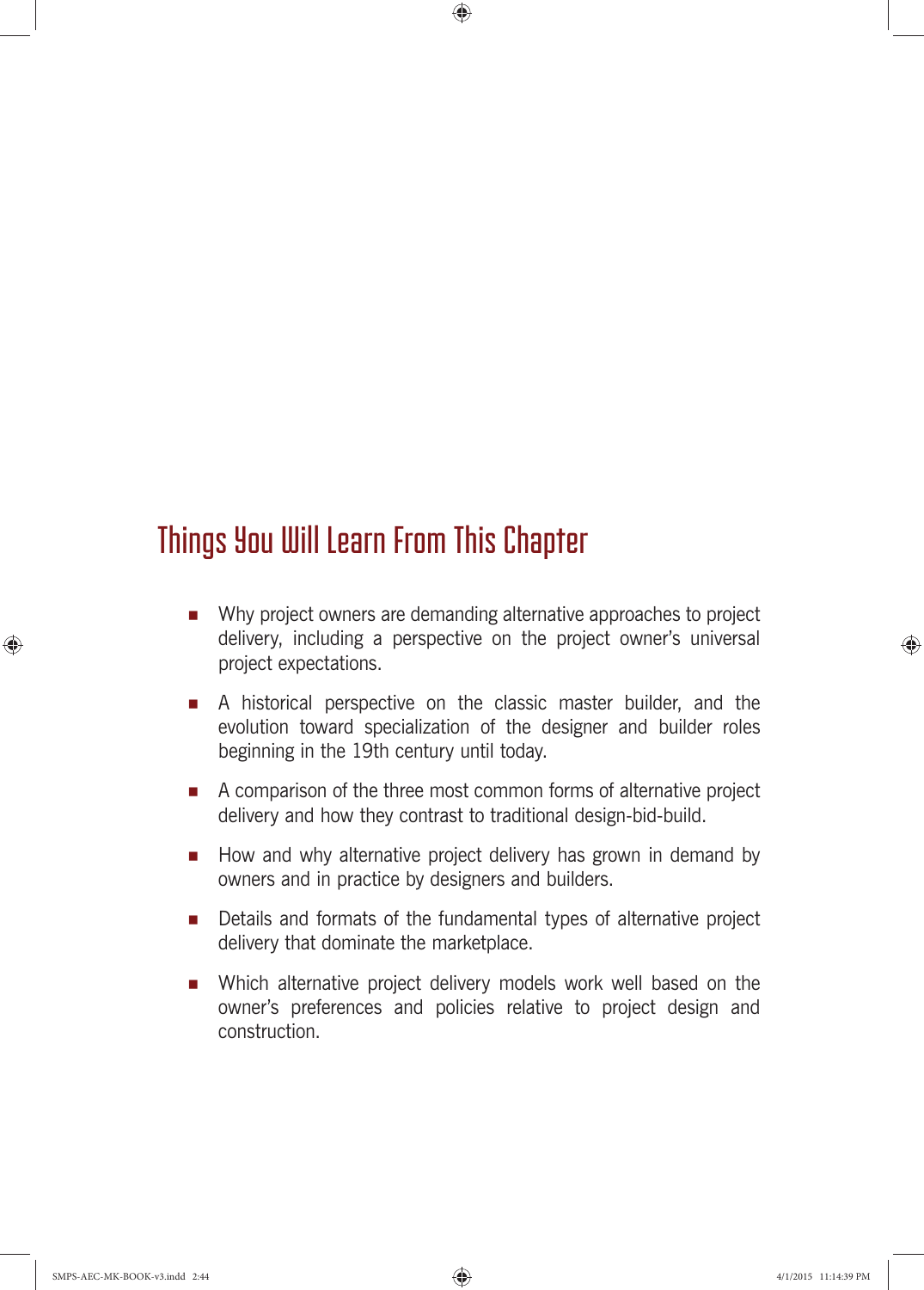## Things You Will Learn From This Chapter

Why project owners are demanding alternative approaches to project delivery, including a perspective on the project owner's universal project expectations.

 $\bigcirc\hspace{-1.45mm}\bigcirc$ 

- A historical perspective on the classic master builder, and the evolution toward specialization of the designer and builder roles beginning in the 19th century until today.
- A comparison of the three most common forms of alternative project delivery and how they contrast to traditional design-bid-build.
- **How and why alternative project delivery has grown in demand by** owners and in practice by designers and builders.
- Details and formats of the fundamental types of alternative project delivery that dominate the marketplace.
- **Nhich alternative project delivery models work well based on the** owner's preferences and policies relative to project design and construction.

♠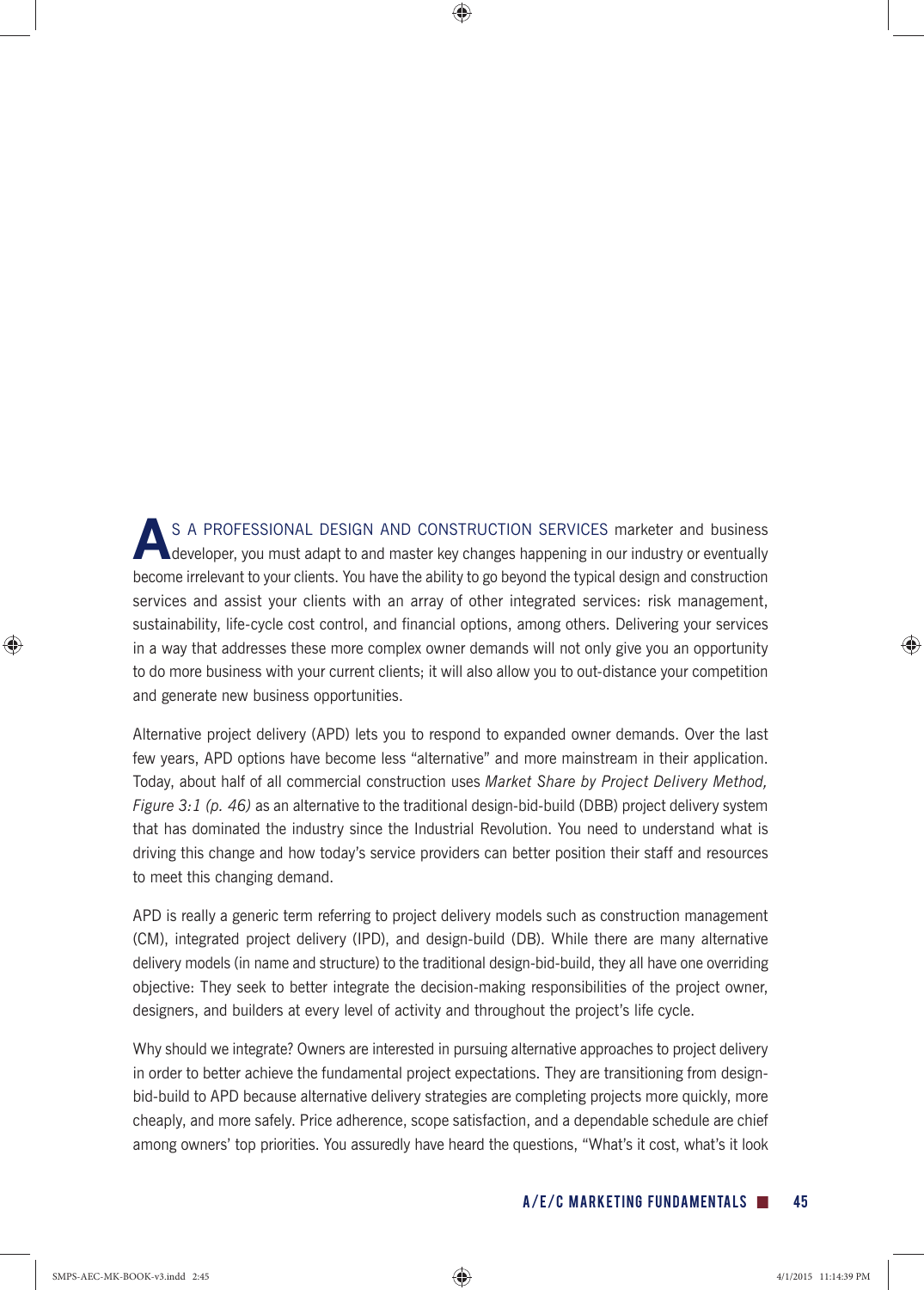S A PROFESSIONAL DESIGN AND CONSTRUCTION SERVICES marketer and business developer, you must adapt to and master key changes happening in our industry or eventually become irrelevant to your clients. You have the ability to go beyond the typical design and construction services and assist your clients with an array of other integrated services: risk management, sustainability, life-cycle cost control, and financial options, among others. Delivering your services in a way that addresses these more complex owner demands will not only give you an opportunity to do more business with your current clients; it will also allow you to out-distance your competition and generate new business opportunities.

 $\textcolor{red}{\textcircled{\footnotesize{1}}}$ 

Alternative project delivery (APD) lets you to respond to expanded owner demands. Over the last few years, APD options have become less "alternative" and more mainstream in their application. Today, about half of all commercial construction uses *Market Share by Project Delivery Method, Figure 3:1 (p. 46)* as an alternative to the traditional design-bid-build (DBB) project delivery system that has dominated the industry since the Industrial Revolution. You need to understand what is driving this change and how today's service providers can better position their staff and resources to meet this changing demand.

APD is really a generic term referring to project delivery models such as construction management (CM), integrated project delivery (IPD), and design-build (DB). While there are many alternative delivery models (in name and structure) to the traditional design-bid-build, they all have one overriding objective: They seek to better integrate the decision-making responsibilities of the project owner, designers, and builders at every level of activity and throughout the project's life cycle.

Why should we integrate? Owners are interested in pursuing alternative approaches to project delivery in order to better achieve the fundamental project expectations. They are transitioning from designbid-build to APD because alternative delivery strategies are completing projects more quickly, more cheaply, and more safely. Price adherence, scope satisfaction, and a dependable schedule are chief among owners' top priorities. You assuredly have heard the questions, "What's it cost, what's it look

#### A/E/C MARKETING FUNDAMENTALS 45

♠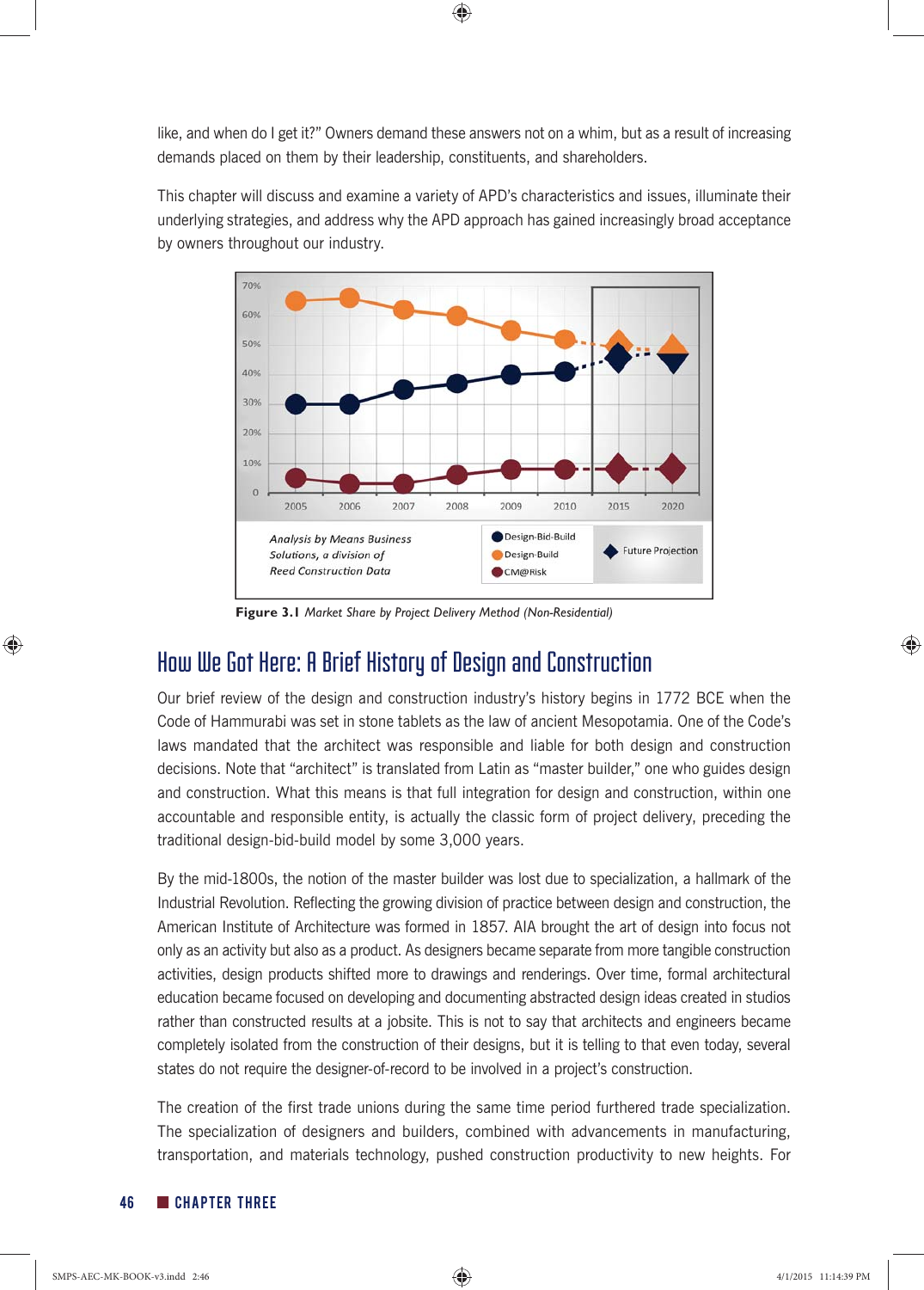like, and when do I get it?" Owners demand these answers not on a whim, but as a result of increasing demands placed on them by their leadership, constituents, and shareholders.

⊕

This chapter will discuss and examine a variety of APD's characteristics and issues, illuminate their underlying strategies, and address why the APD approach has gained increasingly broad acceptance by owners throughout our industry.



**Figure 3.1** *Market Share by Project Delivery Method (Non-Residential)*

### How We Got Here: A Brief History of Design and Construction

Our brief review of the design and construction industry's history begins in 1772 BCE when the Code of Hammurabi was set in stone tablets as the law of ancient Mesopotamia. One of the Code's laws mandated that the architect was responsible and liable for both design and construction decisions. Note that "architect" is translated from Latin as "master builder," one who guides design and construction. What this means is that full integration for design and construction, within one accountable and responsible entity, is actually the classic form of project delivery, preceding the traditional design-bid-build model by some 3,000 years.

By the mid-1800s, the notion of the master builder was lost due to specialization, a hallmark of the Industrial Revolution. Reflecting the growing division of practice between design and construction, the American Institute of Architecture was formed in 1857. AIA brought the art of design into focus not only as an activity but also as a product. As designers became separate from more tangible construction activities, design products shifted more to drawings and renderings. Over time, formal architectural education became focused on developing and documenting abstracted design ideas created in studios rather than constructed results at a jobsite. This is not to say that architects and engineers became completely isolated from the construction of their designs, but it is telling to that even today, several states do not require the designer-of-record to be involved in a project's construction.

The creation of the first trade unions during the same time period furthered trade specialization. The specialization of designers and builders, combined with advancements in manufacturing, transportation, and materials technology, pushed construction productivity to new heights. For

#### 46 CHAPTER THREE

♠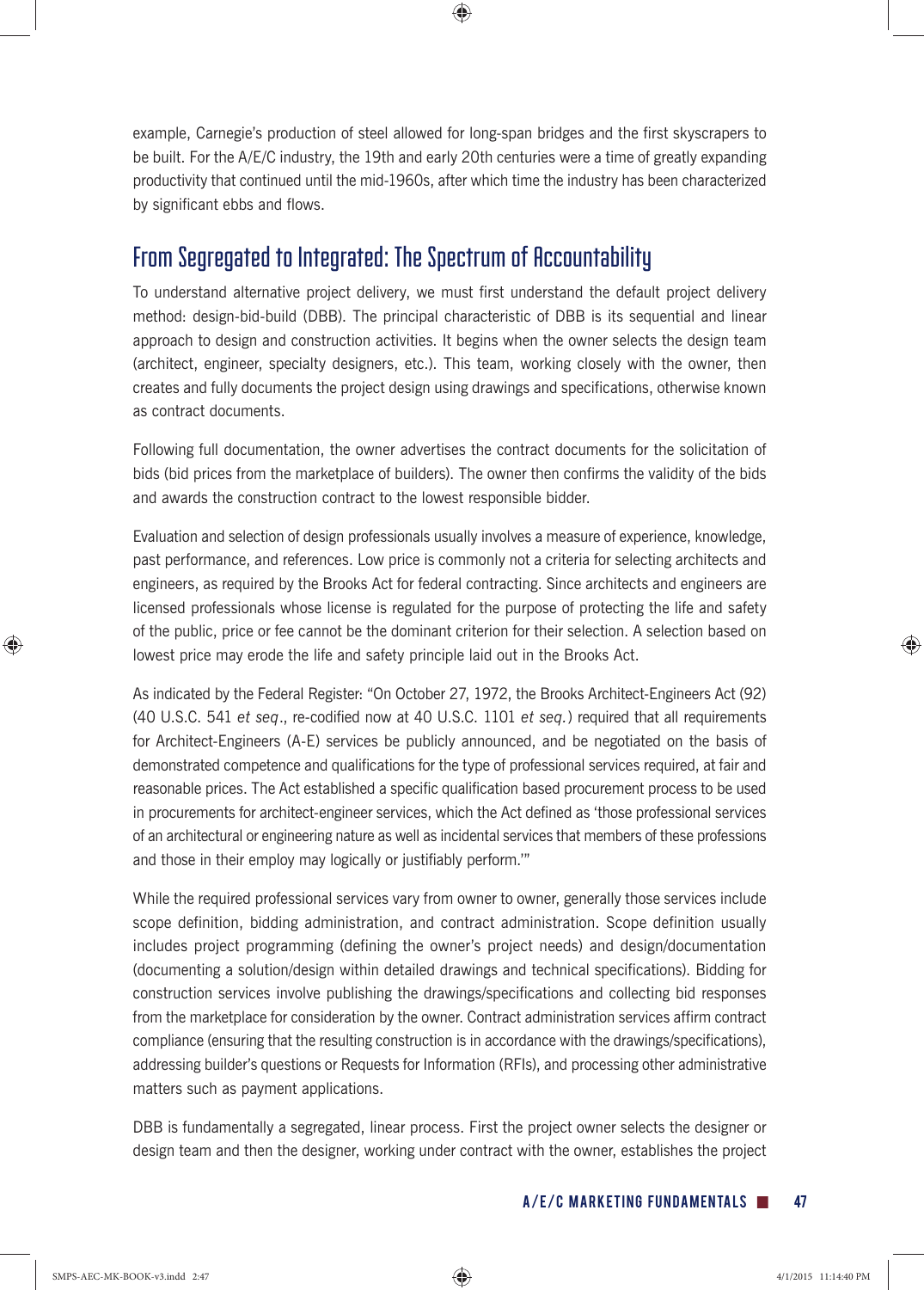example, Carnegie's production of steel allowed for long-span bridges and the first skyscrapers to be built. For the A/E/C industry, the 19th and early 20th centuries were a time of greatly expanding productivity that continued until the mid-1960s, after which time the industry has been characterized by significant ebbs and flows.

 $\textcolor{red}{\textcircled{\footnotesize{1}}}$ 

### From Segregated to Integrated: The Spectrum of Accountability

To understand alternative project delivery, we must first understand the default project delivery method: design-bid-build (DBB). The principal characteristic of DBB is its sequential and linear approach to design and construction activities. It begins when the owner selects the design team (architect, engineer, specialty designers, etc.). This team, working closely with the owner, then creates and fully documents the project design using drawings and specifications, otherwise known as contract documents.

Following full documentation, the owner advertises the contract documents for the solicitation of bids (bid prices from the marketplace of builders). The owner then confirms the validity of the bids and awards the construction contract to the lowest responsible bidder.

Evaluation and selection of design professionals usually involves a measure of experience, knowledge, past performance, and references. Low price is commonly not a criteria for selecting architects and engineers, as required by the Brooks Act for federal contracting. Since architects and engineers are licensed professionals whose license is regulated for the purpose of protecting the life and safety of the public, price or fee cannot be the dominant criterion for their selection. A selection based on lowest price may erode the life and safety principle laid out in the Brooks Act.

As indicated by the Federal Register: "On October 27, 1972, the Brooks Architect-Engineers Act (92) (40 U.S.C. 541 *et seq*., re-codified now at 40 U.S.C. 1101 *et seq.*) required that all requirements for Architect-Engineers (A-E) services be publicly announced, and be negotiated on the basis of demonstrated competence and qualifications for the type of professional services required, at fair and reasonable prices. The Act established a specific qualification based procurement process to be used in procurements for architect-engineer services, which the Act defined as 'those professional services of an architectural or engineering nature as well as incidental services that members of these professions and those in their employ may logically or justifiably perform.'"

While the required professional services vary from owner to owner, generally those services include scope definition, bidding administration, and contract administration. Scope definition usually includes project programming (defining the owner's project needs) and design/documentation (documenting a solution/design within detailed drawings and technical specifications). Bidding for construction services involve publishing the drawings/specifications and collecting bid responses from the marketplace for consideration by the owner. Contract administration services affirm contract compliance (ensuring that the resulting construction is in accordance with the drawings/specifications), addressing builder's questions or Requests for Information (RFIs), and processing other administrative matters such as payment applications.

DBB is fundamentally a segregated, linear process. First the project owner selects the designer or design team and then the designer, working under contract with the owner, establishes the project

#### A/E/C MARKETING FUNDAMENTALS 47

♠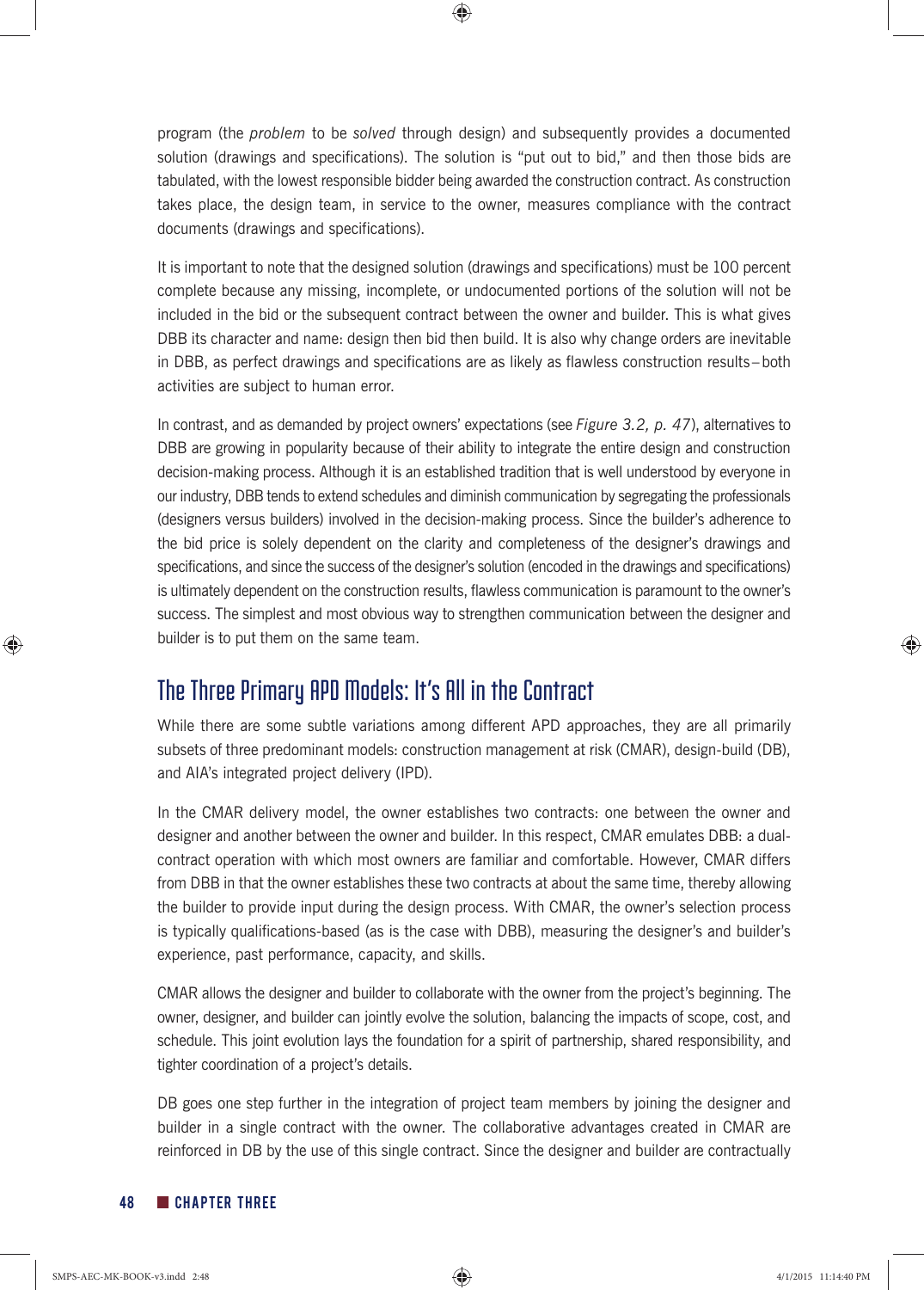program (the *problem* to be *solved* through design) and subsequently provides a documented solution (drawings and specifications). The solution is "put out to bid," and then those bids are tabulated, with the lowest responsible bidder being awarded the construction contract. As construction takes place, the design team, in service to the owner, measures compliance with the contract documents (drawings and specifications).

 $\textcolor{red}{\textcircled{\footnotesize{1}}}$ 

It is important to note that the designed solution (drawings and specifications) must be 100 percent complete because any missing, incomplete, or undocumented portions of the solution will not be included in the bid or the subsequent contract between the owner and builder. This is what gives DBB its character and name: design then bid then build. It is also why change orders are inevitable in DBB, as perfect drawings and specifications are as likely as flawless construction results – both activities are subject to human error.

In contrast, and as demanded by project owners' expectations (see *Figure 3.2, p. 47*), alternatives to DBB are growing in popularity because of their ability to integrate the entire design and construction decision-making process. Although it is an established tradition that is well understood by everyone in our industry, DBB tends to extend schedules and diminish communication by segregating the professionals (designers versus builders) involved in the decision-making process. Since the builder's adherence to the bid price is solely dependent on the clarity and completeness of the designer's drawings and specifications, and since the success of the designer's solution (encoded in the drawings and specifications) is ultimately dependent on the construction results, flawless communication is paramount to the owner's success. The simplest and most obvious way to strengthen communication between the designer and builder is to put them on the same team.

### The Three Primary APD Models: It's All in the Contract

While there are some subtle variations among different APD approaches, they are all primarily subsets of three predominant models: construction management at risk (CMAR), design-build (DB), and AIA's integrated project delivery (IPD).

In the CMAR delivery model, the owner establishes two contracts: one between the owner and designer and another between the owner and builder. In this respect, CMAR emulates DBB: a dualcontract operation with which most owners are familiar and comfortable. However, CMAR differs from DBB in that the owner establishes these two contracts at about the same time, thereby allowing the builder to provide input during the design process. With CMAR, the owner's selection process is typically qualifications-based (as is the case with DBB), measuring the designer's and builder's experience, past performance, capacity, and skills.

CMAR allows the designer and builder to collaborate with the owner from the project's beginning. The owner, designer, and builder can jointly evolve the solution, balancing the impacts of scope, cost, and schedule. This joint evolution lays the foundation for a spirit of partnership, shared responsibility, and tighter coordination of a project's details.

DB goes one step further in the integration of project team members by joining the designer and builder in a single contract with the owner. The collaborative advantages created in CMAR are reinforced in DB by the use of this single contract. Since the designer and builder are contractually

#### 48 CHAPTER THREE

♠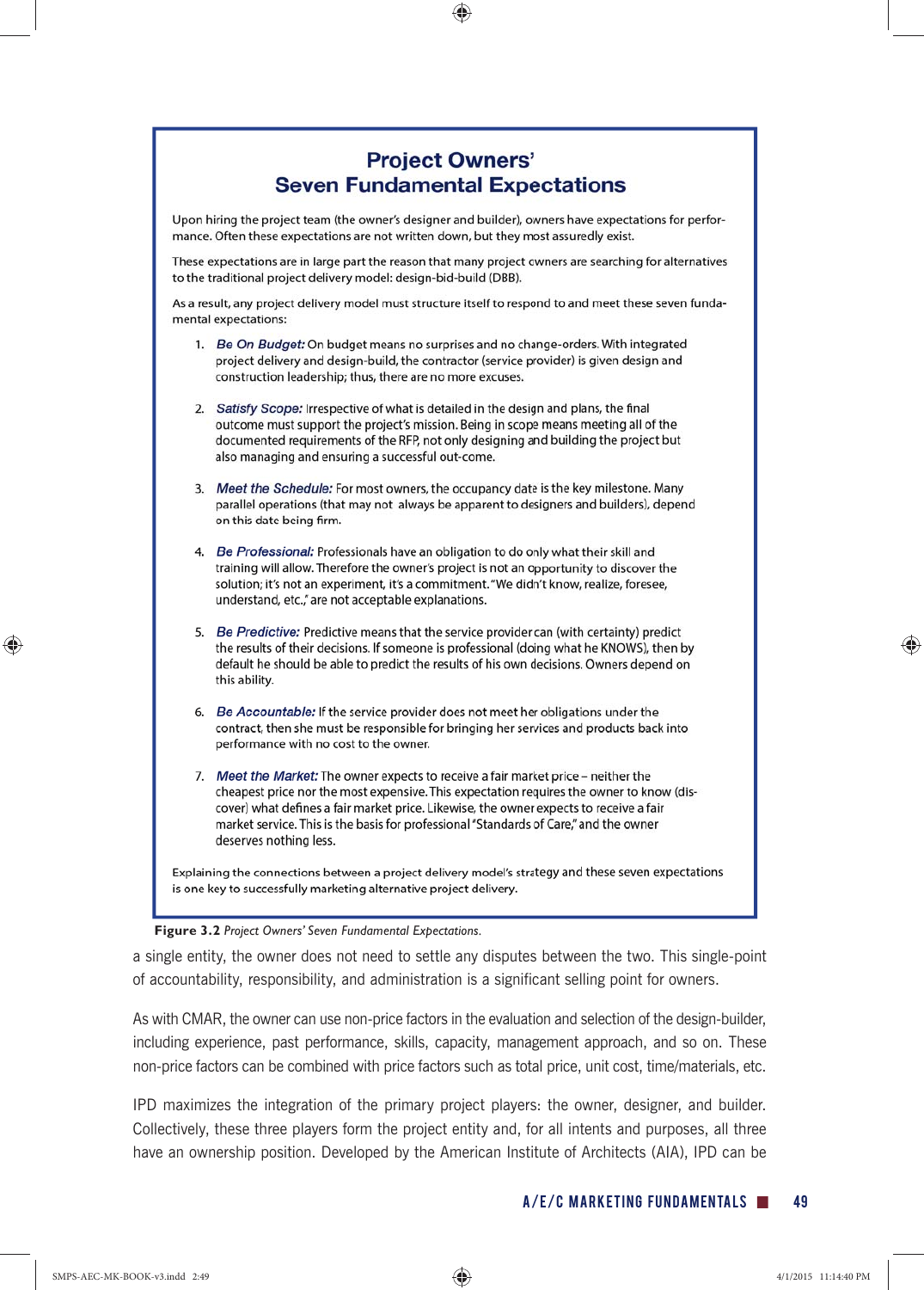

a single entity, the owner does not need to settle any disputes between the two. This single-point of accountability, responsibility, and administration is a significant selling point for owners.

As with CMAR, the owner can use non-price factors in the evaluation and selection of the design-builder, including experience, past performance, skills, capacity, management approach, and so on. These non-price factors can be combined with price factors such as total price, unit cost, time/materials, etc.

IPD maximizes the integration of the primary project players: the owner, designer, and builder. Collectively, these three players form the project entity and, for all intents and purposes, all three have an ownership position. Developed by the American Institute of Architects (AIA), IPD can be

#### A/E/C MARKETING FUNDAMENTALS 49

♠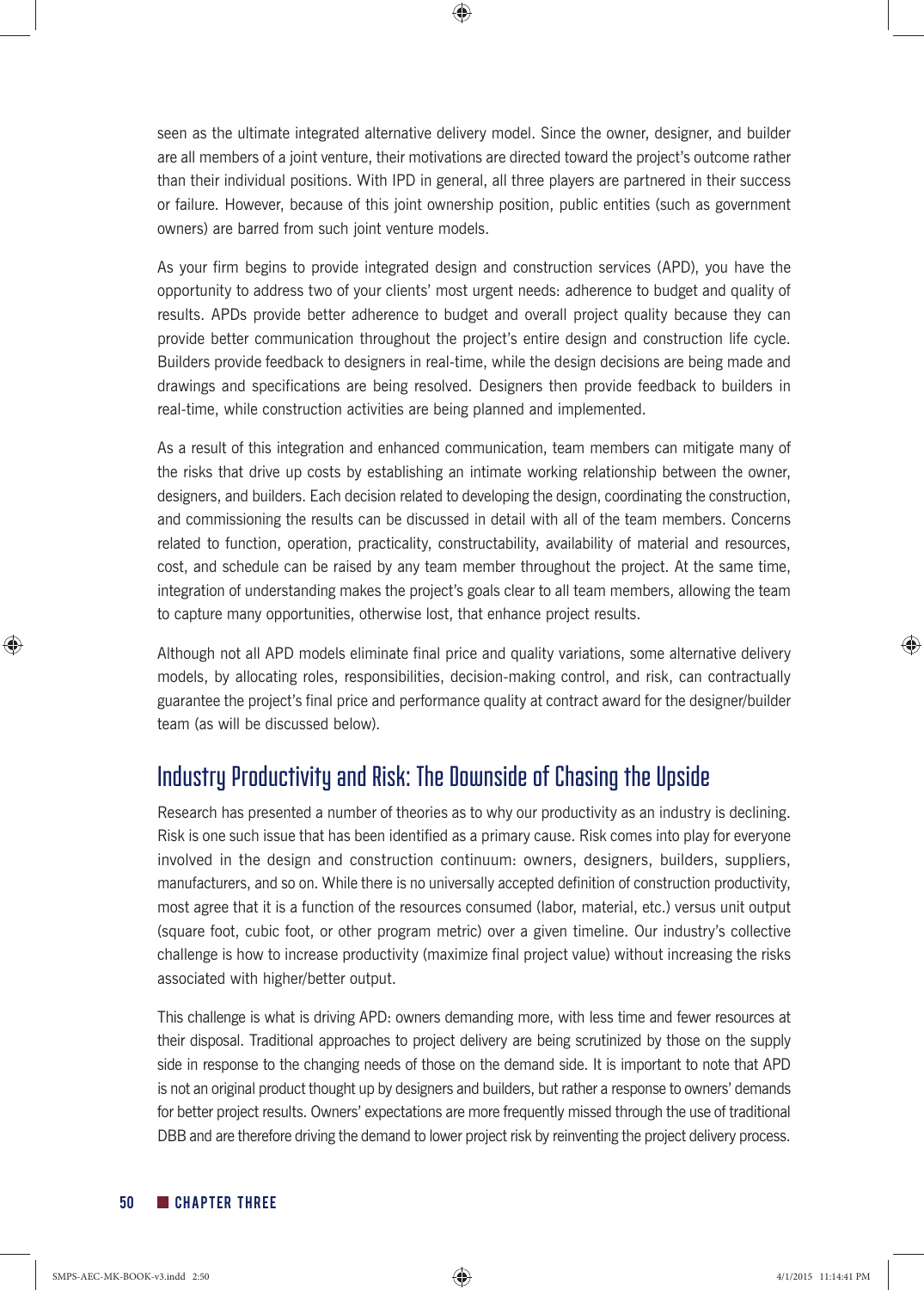seen as the ultimate integrated alternative delivery model. Since the owner, designer, and builder are all members of a joint venture, their motivations are directed toward the project's outcome rather than their individual positions. With IPD in general, all three players are partnered in their success or failure. However, because of this joint ownership position, public entities (such as government owners) are barred from such joint venture models.

⊕

As your firm begins to provide integrated design and construction services (APD), you have the opportunity to address two of your clients' most urgent needs: adherence to budget and quality of results. APDs provide better adherence to budget and overall project quality because they can provide better communication throughout the project's entire design and construction life cycle. Builders provide feedback to designers in real-time, while the design decisions are being made and drawings and specifications are being resolved. Designers then provide feedback to builders in real-time, while construction activities are being planned and implemented.

As a result of this integration and enhanced communication, team members can mitigate many of the risks that drive up costs by establishing an intimate working relationship between the owner, designers, and builders. Each decision related to developing the design, coordinating the construction, and commissioning the results can be discussed in detail with all of the team members. Concerns related to function, operation, practicality, constructability, availability of material and resources, cost, and schedule can be raised by any team member throughout the project. At the same time, integration of understanding makes the project's goals clear to all team members, allowing the team to capture many opportunities, otherwise lost, that enhance project results.

Although not all APD models eliminate final price and quality variations, some alternative delivery models, by allocating roles, responsibilities, decision-making control, and risk, can contractually guarantee the project's final price and performance quality at contract award for the designer/builder team (as will be discussed below).

### Industry Productivity and Risk: The Downside of Chasing the Upside

Research has presented a number of theories as to why our productivity as an industry is declining. Risk is one such issue that has been identified as a primary cause. Risk comes into play for everyone involved in the design and construction continuum: owners, designers, builders, suppliers, manufacturers, and so on. While there is no universally accepted definition of construction productivity, most agree that it is a function of the resources consumed (labor, material, etc.) versus unit output (square foot, cubic foot, or other program metric) over a given timeline. Our industry's collective challenge is how to increase productivity (maximize final project value) without increasing the risks associated with higher/better output.

This challenge is what is driving APD: owners demanding more, with less time and fewer resources at their disposal. Traditional approaches to project delivery are being scrutinized by those on the supply side in response to the changing needs of those on the demand side. It is important to note that APD is not an original product thought up by designers and builders, but rather a response to owners' demands for better project results. Owners' expectations are more frequently missed through the use of traditional DBB and are therefore driving the demand to lower project risk by reinventing the project delivery process.

#### 50 CHAPTER THREE

♠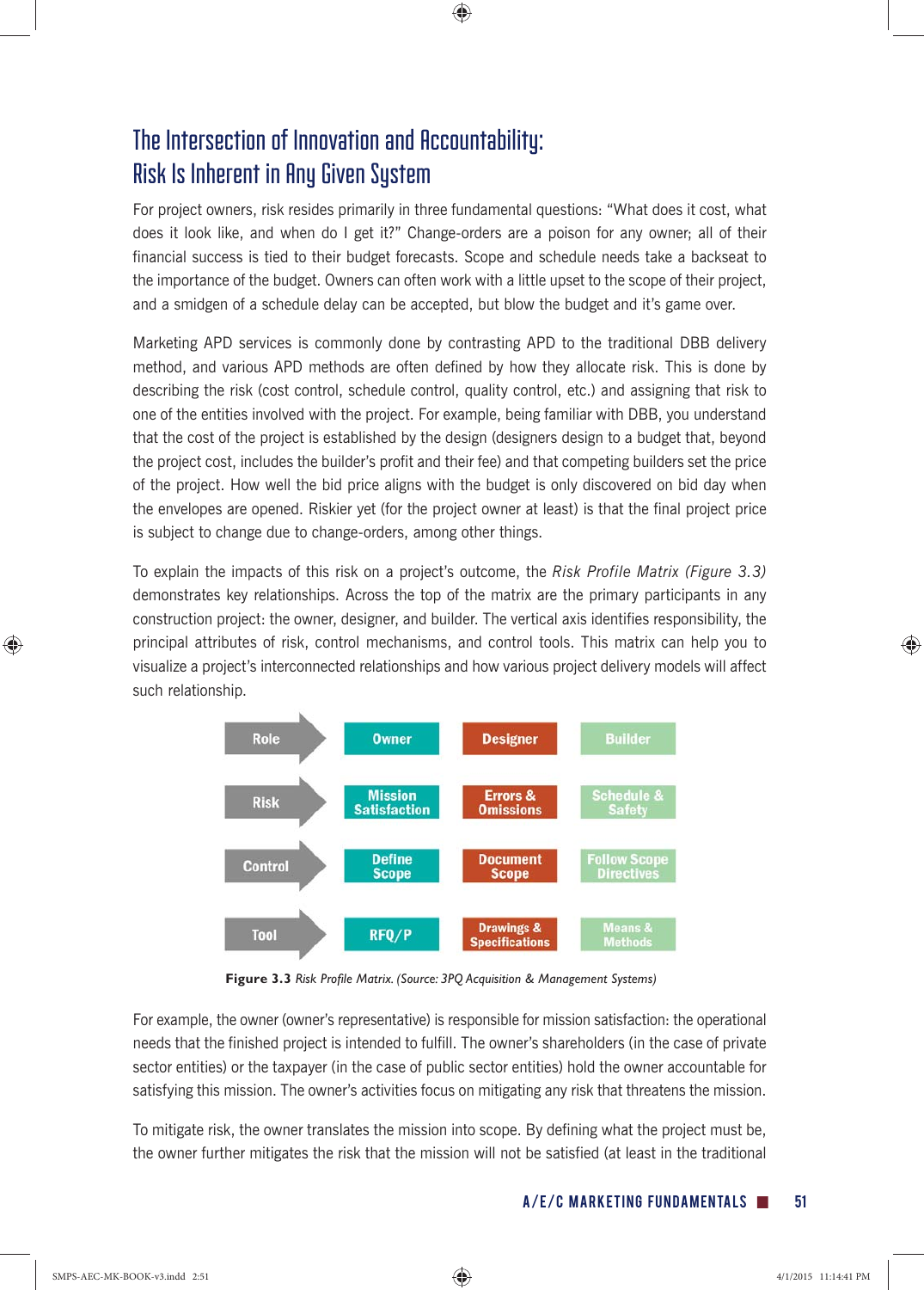### The Intersection of Innovation and Accountability: Risk Is Inherent in Any Given System

For project owners, risk resides primarily in three fundamental questions: "What does it cost, what does it look like, and when do I get it?" Change-orders are a poison for any owner; all of their financial success is tied to their budget forecasts. Scope and schedule needs take a backseat to the importance of the budget. Owners can often work with a little upset to the scope of their project, and a smidgen of a schedule delay can be accepted, but blow the budget and it's game over.

 $\textcolor{red}{\textcircled{\footnotesize{1}}}$ 

Marketing APD services is commonly done by contrasting APD to the traditional DBB delivery method, and various APD methods are often defined by how they allocate risk. This is done by describing the risk (cost control, schedule control, quality control, etc.) and assigning that risk to one of the entities involved with the project. For example, being familiar with DBB, you understand that the cost of the project is established by the design (designers design to a budget that, beyond the project cost, includes the builder's profit and their fee) and that competing builders set the price of the project. How well the bid price aligns with the budget is only discovered on bid day when the envelopes are opened. Riskier yet (for the project owner at least) is that the final project price is subject to change due to change-orders, among other things.

To explain the impacts of this risk on a project's outcome, the *Risk Profile Matrix (Figure 3.3)*  demonstrates key relationships. Across the top of the matrix are the primary participants in any construction project: the owner, designer, and builder. The vertical axis identifies responsibility, the principal attributes of risk, control mechanisms, and control tools. This matrix can help you to visualize a project's interconnected relationships and how various project delivery models will affect such relationship.



**Figure 3.3** Risk Profile Matrix. (Source: 3PQ Acquisition & Management Systems)

For example, the owner (owner's representative) is responsible for mission satisfaction: the operational needs that the finished project is intended to fulfill. The owner's shareholders (in the case of private sector entities) or the taxpayer (in the case of public sector entities) hold the owner accountable for satisfying this mission. The owner's activities focus on mitigating any risk that threatens the mission.

To mitigate risk, the owner translates the mission into scope. By defining what the project must be, the owner further mitigates the risk that the mission will not be satisfied (at least in the traditional

#### A/E/C MARKETING FUNDAMENTALS **6** 51

♠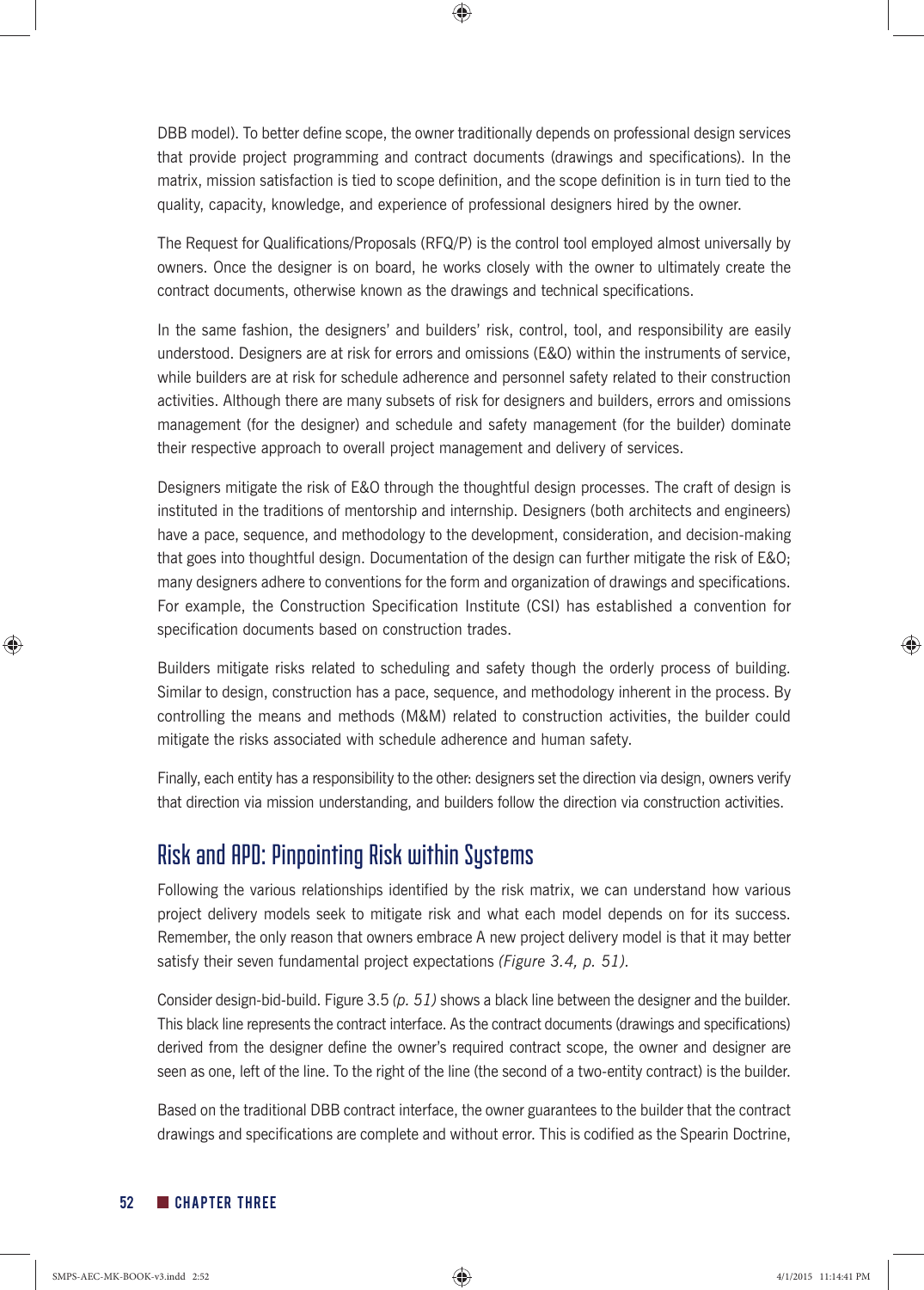DBB model). To better define scope, the owner traditionally depends on professional design services that provide project programming and contract documents (drawings and specifications). In the matrix, mission satisfaction is tied to scope definition, and the scope definition is in turn tied to the quality, capacity, knowledge, and experience of professional designers hired by the owner.

 $\textcolor{red}{\textcircled{\footnotesize{1}}}$ 

The Request for Qualifications/Proposals (RFQ/P) is the control tool employed almost universally by owners. Once the designer is on board, he works closely with the owner to ultimately create the contract documents, otherwise known as the drawings and technical specifications.

In the same fashion, the designers' and builders' risk, control, tool, and responsibility are easily understood. Designers are at risk for errors and omissions (E&O) within the instruments of service, while builders are at risk for schedule adherence and personnel safety related to their construction activities. Although there are many subsets of risk for designers and builders, errors and omissions management (for the designer) and schedule and safety management (for the builder) dominate their respective approach to overall project management and delivery of services.

Designers mitigate the risk of E&O through the thoughtful design processes. The craft of design is instituted in the traditions of mentorship and internship. Designers (both architects and engineers) have a pace, sequence, and methodology to the development, consideration, and decision-making that goes into thoughtful design. Documentation of the design can further mitigate the risk of E&O; many designers adhere to conventions for the form and organization of drawings and specifications. For example, the Construction Specification Institute (CSI) has established a convention for specification documents based on construction trades.

Builders mitigate risks related to scheduling and safety though the orderly process of building. Similar to design, construction has a pace, sequence, and methodology inherent in the process. By controlling the means and methods (M&M) related to construction activities, the builder could mitigate the risks associated with schedule adherence and human safety.

Finally, each entity has a responsibility to the other: designers set the direction via design, owners verify that direction via mission understanding, and builders follow the direction via construction activities.

### Risk and APD: Pinpointing Risk within Systems

Following the various relationships identified by the risk matrix, we can understand how various project delivery models seek to mitigate risk and what each model depends on for its success. Remember, the only reason that owners embrace A new project delivery model is that it may better satisfy their seven fundamental project expectations *(Figure 3.4, p. 51).*

Consider design-bid-build. Figure 3.5 *(p. 51)* shows a black line between the designer and the builder. This black line represents the contract interface. As the contract documents (drawings and specifications) derived from the designer define the owner's required contract scope, the owner and designer are seen as one, left of the line. To the right of the line (the second of a two-entity contract) is the builder.

Based on the traditional DBB contract interface, the owner guarantees to the builder that the contract drawings and specifications are complete and without error. This is codified as the Spearin Doctrine,

#### 52 CHAPTER THREE

♠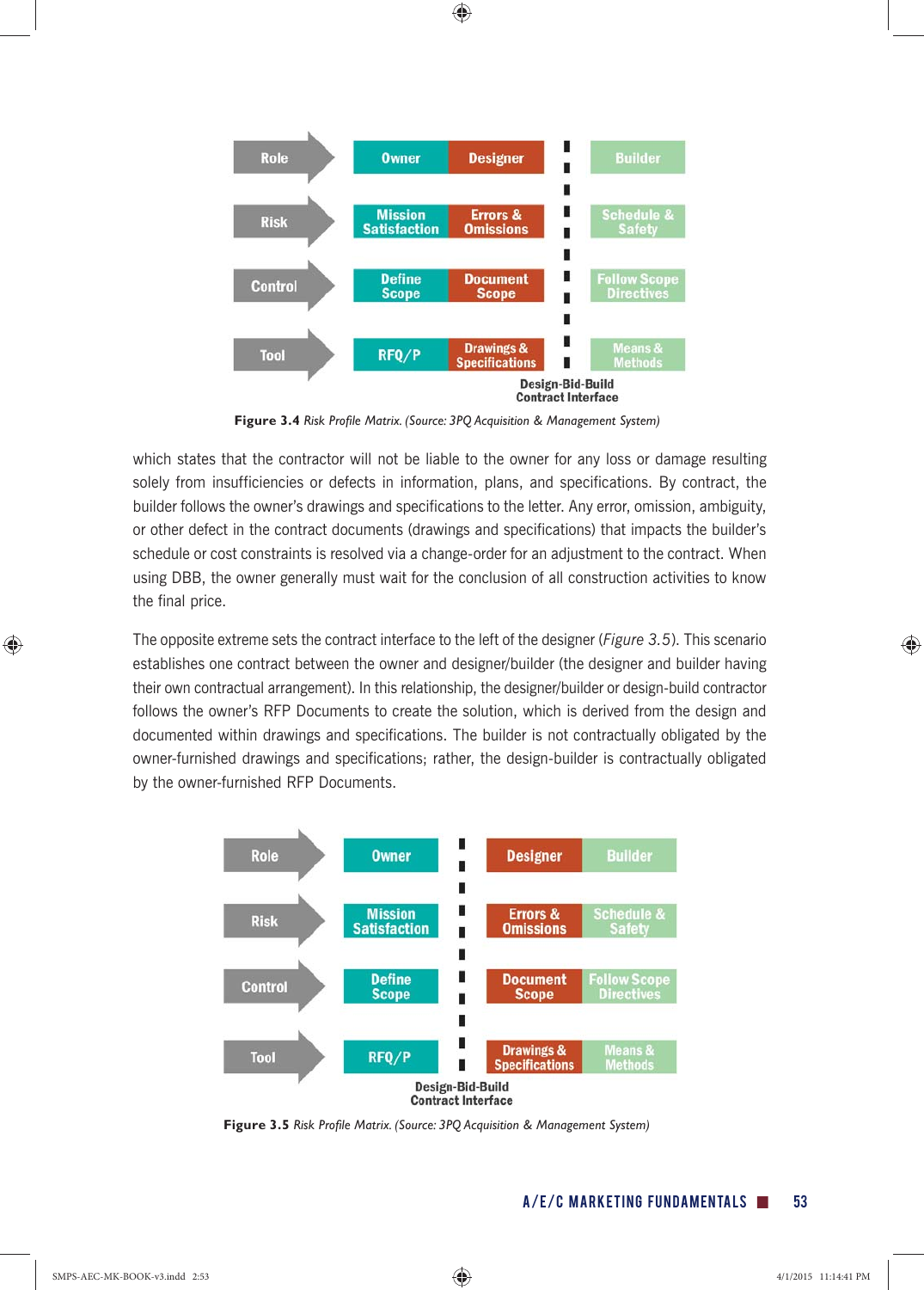

⊕

**Figure 3.4** Risk Profile Matrix. (Source: 3PQ Acquisition & Management System)

which states that the contractor will not be liable to the owner for any loss or damage resulting solely from insufficiencies or defects in information, plans, and specifications. By contract, the builder follows the owner's drawings and specifications to the letter. Any error, omission, ambiguity, or other defect in the contract documents (drawings and specifications) that impacts the builder's schedule or cost constraints is resolved via a change-order for an adjustment to the contract. When using DBB, the owner generally must wait for the conclusion of all construction activities to know the final price.

The opposite extreme sets the contract interface to the left of the designer (*Figure 3.5*). This scenario establishes one contract between the owner and designer/builder (the designer and builder having their own contractual arrangement). In this relationship, the designer/builder or design-build contractor follows the owner's RFP Documents to create the solution, which is derived from the design and documented within drawings and specifications. The builder is not contractually obligated by the owner-furnished drawings and specifications; rather, the design-builder is contractually obligated by the owner-furnished RFP Documents.



**Figure 3.5** Risk Profile Matrix. (Source: 3PQ Acquisition & Management System)

#### A/E/C MARKETING FUNDAMENTALS 3 53

♠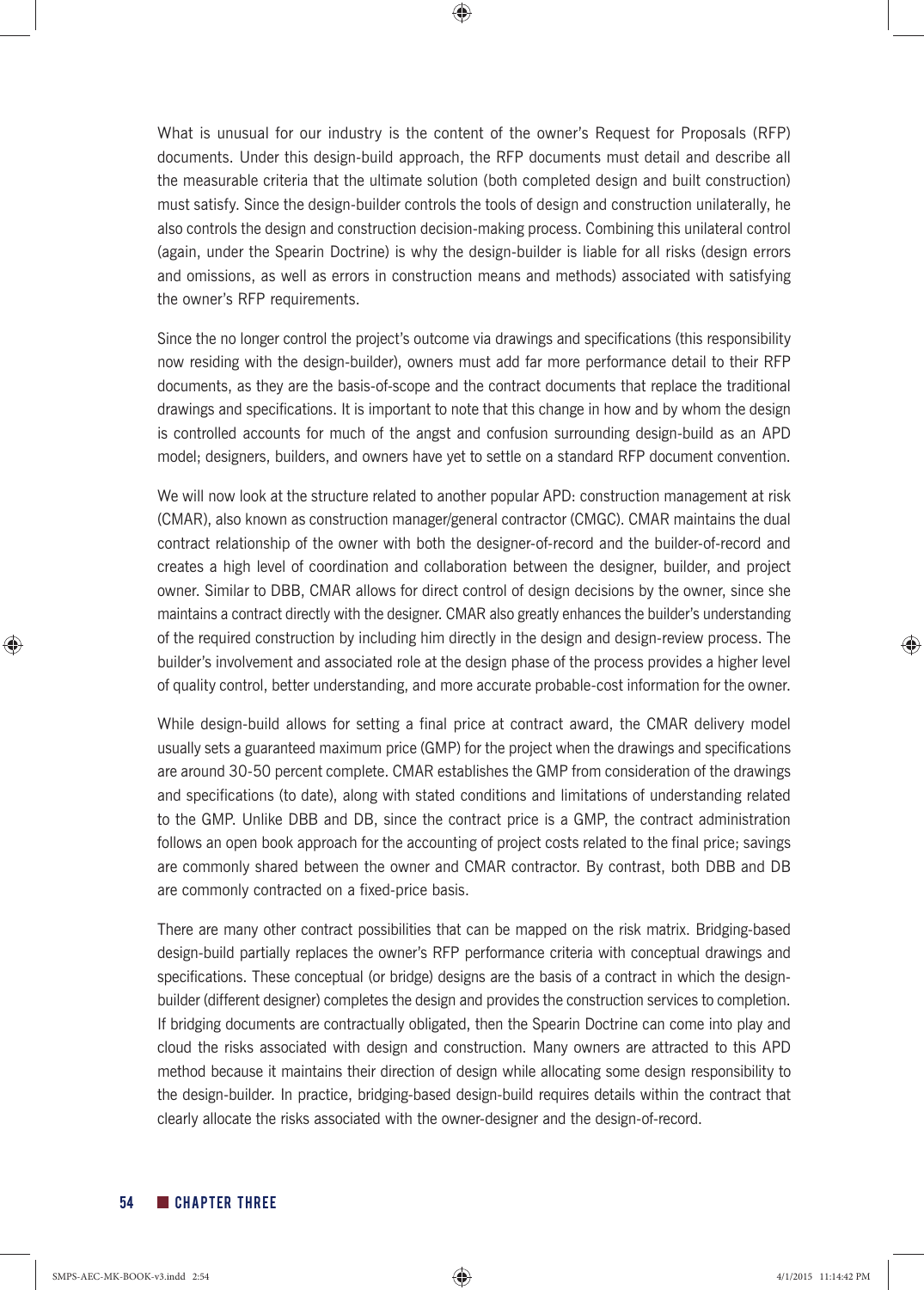What is unusual for our industry is the content of the owner's Request for Proposals (RFP) documents. Under this design-build approach, the RFP documents must detail and describe all the measurable criteria that the ultimate solution (both completed design and built construction) must satisfy. Since the design-builder controls the tools of design and construction unilaterally, he also controls the design and construction decision-making process. Combining this unilateral control (again, under the Spearin Doctrine) is why the design-builder is liable for all risks (design errors and omissions, as well as errors in construction means and methods) associated with satisfying the owner's RFP requirements.

 $\textcolor{red}{\textcircled{\footnotesize{1}}}$ 

Since the no longer control the project's outcome via drawings and specifications (this responsibility now residing with the design-builder), owners must add far more performance detail to their RFP documents, as they are the basis-of-scope and the contract documents that replace the traditional drawings and specifications. It is important to note that this change in how and by whom the design is controlled accounts for much of the angst and confusion surrounding design-build as an APD model; designers, builders, and owners have yet to settle on a standard RFP document convention.

We will now look at the structure related to another popular APD: construction management at risk (CMAR), also known as construction manager/general contractor (CMGC). CMAR maintains the dual contract relationship of the owner with both the designer-of-record and the builder-of-record and creates a high level of coordination and collaboration between the designer, builder, and project owner. Similar to DBB, CMAR allows for direct control of design decisions by the owner, since she maintains a contract directly with the designer. CMAR also greatly enhances the builder's understanding of the required construction by including him directly in the design and design-review process. The builder's involvement and associated role at the design phase of the process provides a higher level of quality control, better understanding, and more accurate probable-cost information for the owner.

While design-build allows for setting a final price at contract award, the CMAR delivery model usually sets a guaranteed maximum price (GMP) for the project when the drawings and specifications are around 30-50 percent complete. CMAR establishes the GMP from consideration of the drawings and specifications (to date), along with stated conditions and limitations of understanding related to the GMP. Unlike DBB and DB, since the contract price is a GMP, the contract administration follows an open book approach for the accounting of project costs related to the final price; savings are commonly shared between the owner and CMAR contractor. By contrast, both DBB and DB are commonly contracted on a fixed-price basis.

There are many other contract possibilities that can be mapped on the risk matrix. Bridging-based design-build partially replaces the owner's RFP performance criteria with conceptual drawings and specifications. These conceptual (or bridge) designs are the basis of a contract in which the designbuilder (different designer) completes the design and provides the construction services to completion. If bridging documents are contractually obligated, then the Spearin Doctrine can come into play and cloud the risks associated with design and construction. Many owners are attracted to this APD method because it maintains their direction of design while allocating some design responsibility to the design-builder. In practice, bridging-based design-build requires details within the contract that clearly allocate the risks associated with the owner-designer and the design-of-record.

#### 54 CHAPTER THREE

♠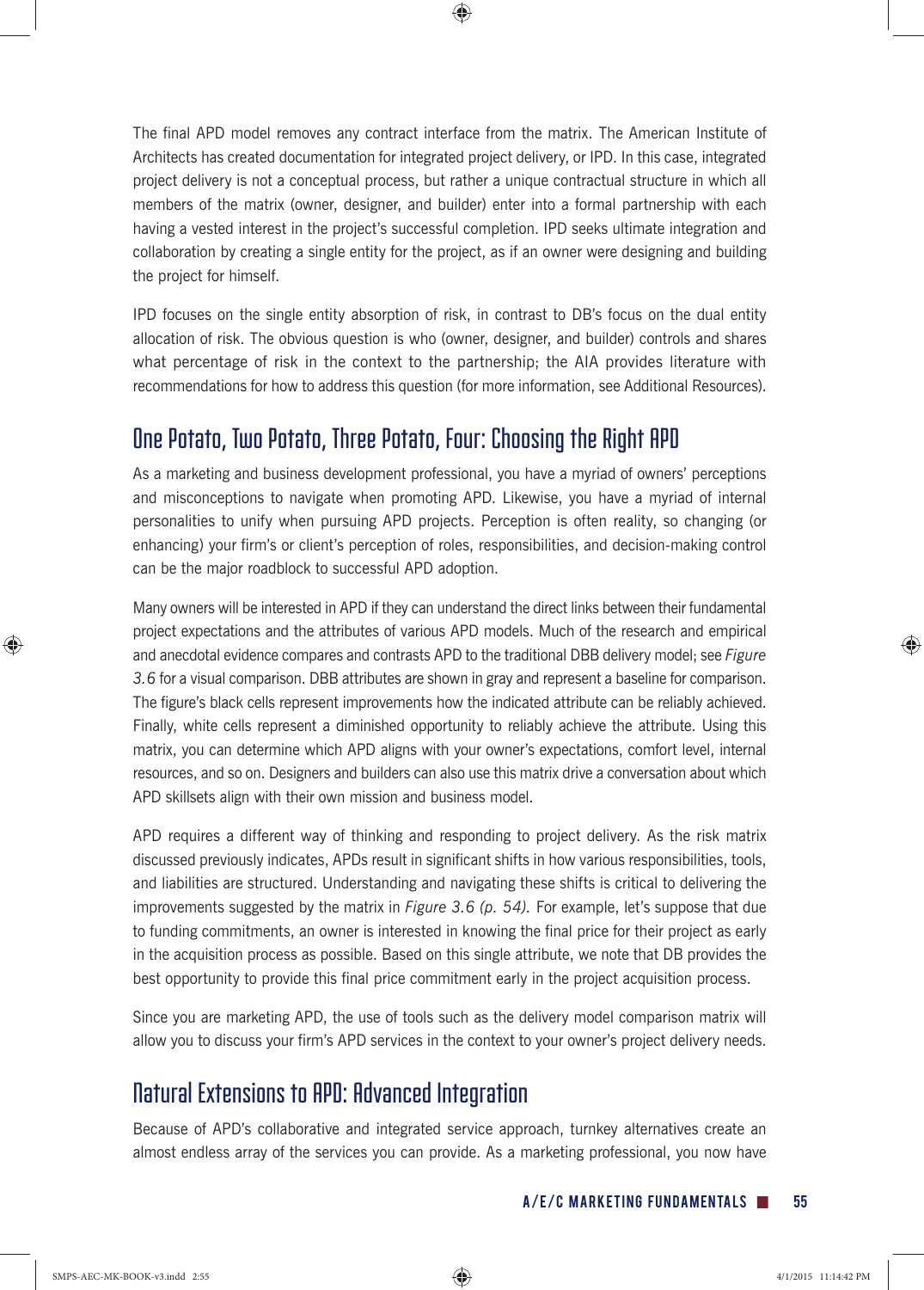The final APD model removes any contract interface from the matrix. The American Institute of Architects has created documentation for integrated project delivery, or IPD. In this case, integrated project delivery is not a conceptual process, but rather a unique contractual structure in which all members of the matrix (owner, designer, and builder) enter into a formal partnership with each having a vested interest in the project's successful completion. IPD seeks ultimate integration and collaboration by creating a single entity for the project, as if an owner were designing and building the project for himself.

⊕

IPD focuses on the single entity absorption of risk, in contrast to DB's focus on the dual entity allocation of risk. The obvious question is who (owner, designer, and builder) controls and shares what percentage of risk in the context to the partnership; the AIA provides literature with recommendations for how to address this question (for more information, see Additional Resources).

### One Potato, Two Potato, Three Potato, Four: Choosing the Right APD

As a marketing and business development professional, you have a myriad of owners' perceptions and misconceptions to navigate when promoting APD. Likewise, you have a myriad of internal personalities to unify when pursuing APD projects. Perception is often reality, so changing (or enhancing) your firm's or client's perception of roles, responsibilities, and decision-making control can be the major roadblock to successful APD adoption.

Many owners will be interested in APD if they can understand the direct links between their fundamental project expectations and the attributes of various APD models. Much of the research and empirical and anecdotal evidence compares and contrasts APD to the traditional DBB delivery model; see *Figure 3.6* for a visual comparison. DBB attributes are shown in gray and represent a baseline for comparison. The figure's black cells represent improvements how the indicated attribute can be reliably achieved. Finally, white cells represent a diminished opportunity to reliably achieve the attribute. Using this matrix, you can determine which APD aligns with your owner's expectations, comfort level, internal resources, and so on. Designers and builders can also use this matrix drive a conversation about which APD skillsets align with their own mission and business model.

APD requires a different way of thinking and responding to project delivery. As the risk matrix discussed previously indicates, APDs result in significant shifts in how various responsibilities, tools, and liabilities are structured. Understanding and navigating these shifts is critical to delivering the improvements suggested by the matrix in *Figure 3.6 (p. 54).* For example, let's suppose that due to funding commitments, an owner is interested in knowing the final price for their project as early in the acquisition process as possible. Based on this single attribute, we note that DB provides the best opportunity to provide this final price commitment early in the project acquisition process.

Since you are marketing APD, the use of tools such as the delivery model comparison matrix will allow you to discuss your firm's APD services in the context to your owner's project delivery needs.

### Natural Extensions to APD: Advanced Integration

Because of APD's collaborative and integrated service approach, turnkey alternatives create an almost endless array of the services you can provide. As a marketing professional, you now have

#### A/E/C MARKETING FUNDAMENTALS **6** 55

♠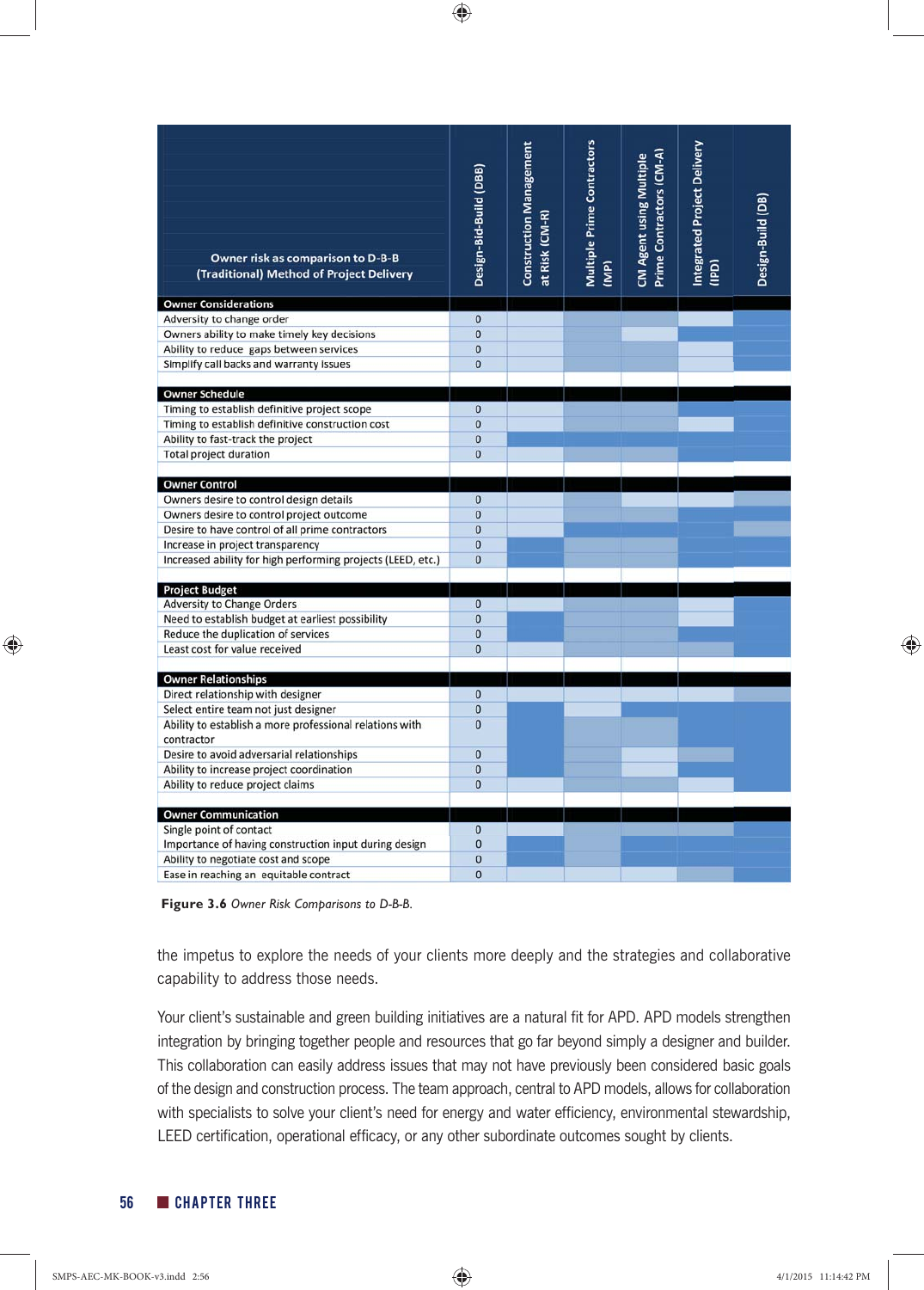| Owner risk as comparison to D-B-B<br>(Traditional) Method of Project Delivery                | Design-Bid-Build (DBB) | <b>Construction Management</b><br>at Risk (CM-R) | <b>Multiple Prime Contractors</b><br><b>GINI</b> | Prime Contractors (CM-A)<br>CM Agent using Multiple | <b>Integrated Project Delivery</b><br>힡 | Design-Build (DB) |
|----------------------------------------------------------------------------------------------|------------------------|--------------------------------------------------|--------------------------------------------------|-----------------------------------------------------|-----------------------------------------|-------------------|
| <b>Owner Considerations</b>                                                                  |                        |                                                  |                                                  |                                                     |                                         |                   |
| Adversity to change order                                                                    | $\bf{0}$               |                                                  |                                                  |                                                     |                                         |                   |
| Owners ability to make timely key decisions                                                  | $\mathbf{0}$           |                                                  |                                                  |                                                     |                                         |                   |
| Ability to reduce gaps between services                                                      | $\mathbf 0$            |                                                  |                                                  |                                                     |                                         |                   |
| Simplify call backs and warranty issues                                                      | $\mathbf 0$            |                                                  |                                                  |                                                     |                                         |                   |
| <b>Owner Schedule</b>                                                                        |                        |                                                  |                                                  |                                                     |                                         |                   |
| Timing to establish definitive project scope                                                 | $\overline{0}$         |                                                  |                                                  |                                                     |                                         |                   |
| Timing to establish definitive construction cost                                             | $\overline{0}$         |                                                  |                                                  |                                                     |                                         |                   |
| Ability to fast-track the project                                                            | $\bf{0}$               |                                                  |                                                  |                                                     |                                         |                   |
| Total project duration                                                                       | $\mathbf{0}$           |                                                  |                                                  |                                                     |                                         |                   |
|                                                                                              |                        |                                                  |                                                  |                                                     |                                         |                   |
| <b>Owner Control</b>                                                                         |                        |                                                  |                                                  |                                                     |                                         |                   |
| Owners desire to control design details                                                      | $\bf{0}$               |                                                  |                                                  |                                                     |                                         |                   |
| Owners desire to control project outcome                                                     | $\mathbf{0}$           |                                                  |                                                  |                                                     |                                         |                   |
| Desire to have control of all prime contractors                                              | $\overline{0}$         |                                                  |                                                  |                                                     |                                         |                   |
| Increase in project transparency                                                             | $\overline{0}$         |                                                  |                                                  |                                                     |                                         |                   |
| Increased ability for high performing projects (LEED, etc.)                                  | $\overline{0}$         |                                                  |                                                  |                                                     |                                         |                   |
|                                                                                              |                        |                                                  |                                                  |                                                     |                                         |                   |
| <b>Project Budget</b><br><b>Adversity to Change Orders</b>                                   | $\mathbf{0}$           |                                                  |                                                  |                                                     |                                         |                   |
| Need to establish budget at earliest possibility                                             | $\bf{0}$               |                                                  |                                                  |                                                     |                                         |                   |
| Reduce the duplication of services                                                           | $\bf{0}$               |                                                  |                                                  |                                                     |                                         |                   |
| Least cost for value received                                                                | $\mathbf 0$            |                                                  |                                                  |                                                     |                                         |                   |
|                                                                                              |                        |                                                  |                                                  |                                                     |                                         |                   |
| <b>Owner Relationships</b>                                                                   |                        |                                                  |                                                  |                                                     |                                         |                   |
| Direct relationship with designer                                                            | $\overline{0}$         |                                                  |                                                  |                                                     |                                         |                   |
| Select entire team not just designer                                                         | $\bf{0}$               |                                                  |                                                  |                                                     |                                         |                   |
| Ability to establish a more professional relations with                                      | $\bf{0}$               |                                                  |                                                  |                                                     |                                         |                   |
| contractor                                                                                   |                        |                                                  |                                                  |                                                     |                                         |                   |
| Desire to avoid adversarial relationships                                                    | $\mathbf{0}$           |                                                  |                                                  |                                                     |                                         |                   |
| Ability to increase project coordination                                                     | $\mathbf{0}$           |                                                  |                                                  |                                                     |                                         |                   |
| Ability to reduce project claims                                                             | $\Omega$               |                                                  |                                                  |                                                     |                                         |                   |
|                                                                                              |                        |                                                  |                                                  |                                                     |                                         |                   |
| <b>Owner Communication</b>                                                                   |                        |                                                  |                                                  |                                                     |                                         |                   |
| Single point of contact                                                                      | $\overline{0}$<br>0    |                                                  |                                                  |                                                     |                                         |                   |
| Importance of having construction input during design<br>Ability to negotiate cost and scope | $\overline{0}$         |                                                  |                                                  |                                                     |                                         |                   |
| Ease in reaching an equitable contract                                                       | $\overline{0}$         |                                                  |                                                  |                                                     |                                         |                   |
|                                                                                              |                        |                                                  |                                                  |                                                     |                                         |                   |

 $\bigoplus$ 

 **Figure 3.6** *Owner Risk Comparisons to D-B-B.*

the impetus to explore the needs of your clients more deeply and the strategies and collaborative capability to address those needs.

Your client's sustainable and green building initiatives are a natural fit for APD. APD models strengthen integration by bringing together people and resources that go far beyond simply a designer and builder. This collaboration can easily address issues that may not have previously been considered basic goals of the design and construction process. The team approach, central to APD models, allows for collaboration with specialists to solve your client's need for energy and water efficiency, environmental stewardship, LEED certification, operational efficacy, or any other subordinate outcomes sought by clients.

#### 56 CHAPTER THREE

⊕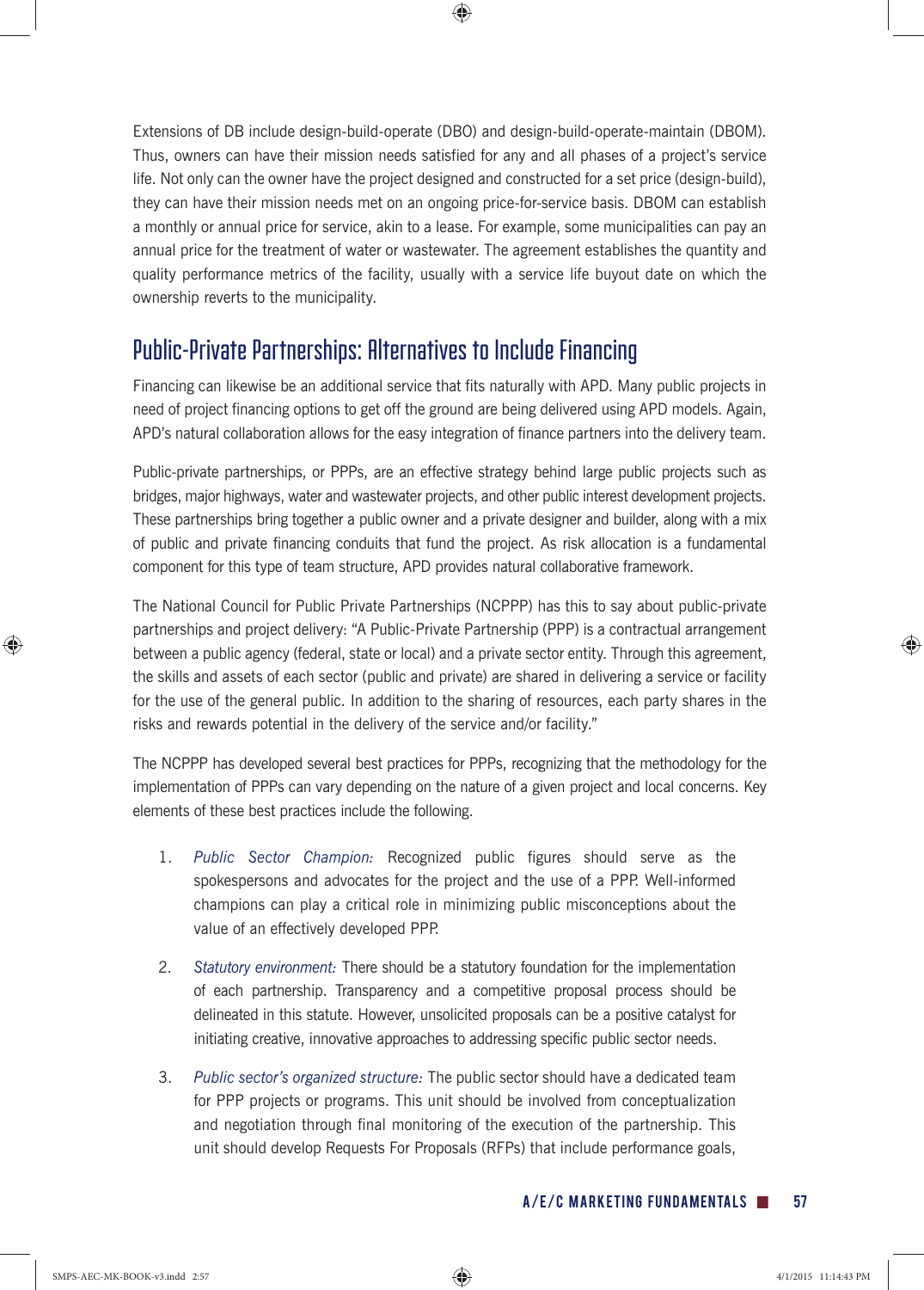Extensions of DB include design-build-operate (DBO) and design-build-operate-maintain (DBOM). Thus, owners can have their mission needs satisfied for any and all phases of a project's service life. Not only can the owner have the project designed and constructed for a set price (design-build), they can have their mission needs met on an ongoing price-for-service basis. DBOM can establish a monthly or annual price for service, akin to a lease. For example, some municipalities can pay an annual price for the treatment of water or wastewater. The agreement establishes the quantity and quality performance metrics of the facility, usually with a service life buyout date on which the ownership reverts to the municipality.

⊕

### Public-Private Partnerships: Alternatives to Include Financing

Financing can likewise be an additional service that fits naturally with APD. Many public projects in need of project financing options to get off the ground are being delivered using APD models. Again, APD's natural collaboration allows for the easy integration of finance partners into the delivery team.

Public-private partnerships, or PPPs, are an effective strategy behind large public projects such as bridges, major highways, water and wastewater projects, and other public interest development projects. These partnerships bring together a public owner and a private designer and builder, along with a mix of public and private financing conduits that fund the project. As risk allocation is a fundamental component for this type of team structure, APD provides natural collaborative framework.

The National Council for Public Private Partnerships (NCPPP) has this to say about public-private partnerships and project delivery: "A Public-Private Partnership (PPP) is a contractual arrangement between a public agency (federal, state or local) and a private sector entity. Through this agreement, the skills and assets of each sector (public and private) are shared in delivering a service or facility for the use of the general public. In addition to the sharing of resources, each party shares in the risks and rewards potential in the delivery of the service and/or facility."

The NCPPP has developed several best practices for PPPs, recognizing that the methodology for the implementation of PPPs can vary depending on the nature of a given project and local concerns. Key elements of these best practices include the following.

- 1. *Public Sector Champion:* Recognized public figures should serve as the spokespersons and advocates for the project and the use of a PPP. Well-informed champions can play a critical role in minimizing public misconceptions about the value of an effectively developed PPP.
- 2. *Statutory environment:* There should be a statutory foundation for the implementation of each partnership. Transparency and a competitive proposal process should be delineated in this statute. However, unsolicited proposals can be a positive catalyst for initiating creative, innovative approaches to addressing specific public sector needs.
- 3. *Public sector's organized structure:* The public sector should have a dedicated team for PPP projects or programs. This unit should be involved from conceptualization and negotiation through final monitoring of the execution of the partnership. This unit should develop Requests For Proposals (RFPs) that include performance goals,

#### A/E/C MARKETING FUNDAMENTALS **6** 57

♠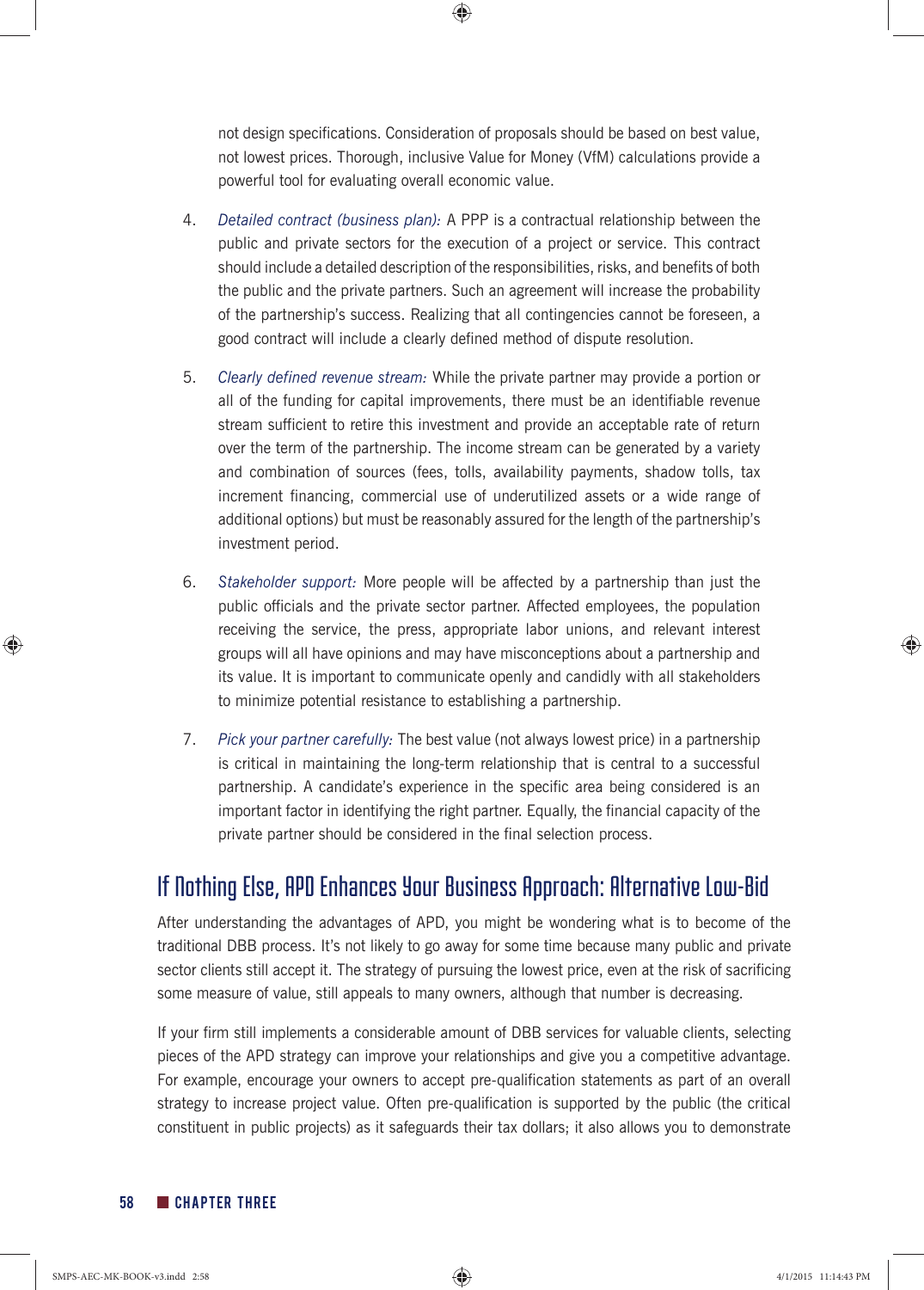not design specifications. Consideration of proposals should be based on best value, not lowest prices. Thorough, inclusive Value for Money (VfM) calculations provide a powerful tool for evaluating overall economic value.

 $\textcolor{red}{\textcircled{\footnotesize{1}}}$ 

- 4. *Detailed contract (business plan):* A PPP is a contractual relationship between the public and private sectors for the execution of a project or service. This contract should include a detailed description of the responsibilities, risks, and benefits of both the public and the private partners. Such an agreement will increase the probability of the partnership's success. Realizing that all contingencies cannot be foreseen, a good contract will include a clearly defined method of dispute resolution.
- 5. *Clearly defined revenue stream:* While the private partner may provide a portion or all of the funding for capital improvements, there must be an identifiable revenue stream sufficient to retire this investment and provide an acceptable rate of return over the term of the partnership. The income stream can be generated by a variety and combination of sources (fees, tolls, availability payments, shadow tolls, tax increment financing, commercial use of underutilized assets or a wide range of additional options) but must be reasonably assured for the length of the partnership's investment period.
- 6. *Stakeholder support:* More people will be affected by a partnership than just the public officials and the private sector partner. Affected employees, the population receiving the service, the press, appropriate labor unions, and relevant interest groups will all have opinions and may have misconceptions about a partnership and its value. It is important to communicate openly and candidly with all stakeholders to minimize potential resistance to establishing a partnership.
- 7. *Pick your partner carefully:* The best value (not always lowest price) in a partnership is critical in maintaining the long-term relationship that is central to a successful partnership. A candidate's experience in the specific area being considered is an important factor in identifying the right partner. Equally, the financial capacity of the private partner should be considered in the final selection process.

### If Nothing Else, APD Enhances Your Business Approach: Alternative Low-Bid

After understanding the advantages of APD, you might be wondering what is to become of the traditional DBB process. It's not likely to go away for some time because many public and private sector clients still accept it. The strategy of pursuing the lowest price, even at the risk of sacrificing some measure of value, still appeals to many owners, although that number is decreasing.

If your firm still implements a considerable amount of DBB services for valuable clients, selecting pieces of the APD strategy can improve your relationships and give you a competitive advantage. For example, encourage your owners to accept pre-qualification statements as part of an overall strategy to increase project value. Often pre-qualification is supported by the public (the critical constituent in public projects) as it safeguards their tax dollars; it also allows you to demonstrate

#### 58 CHAPTER THREE

♠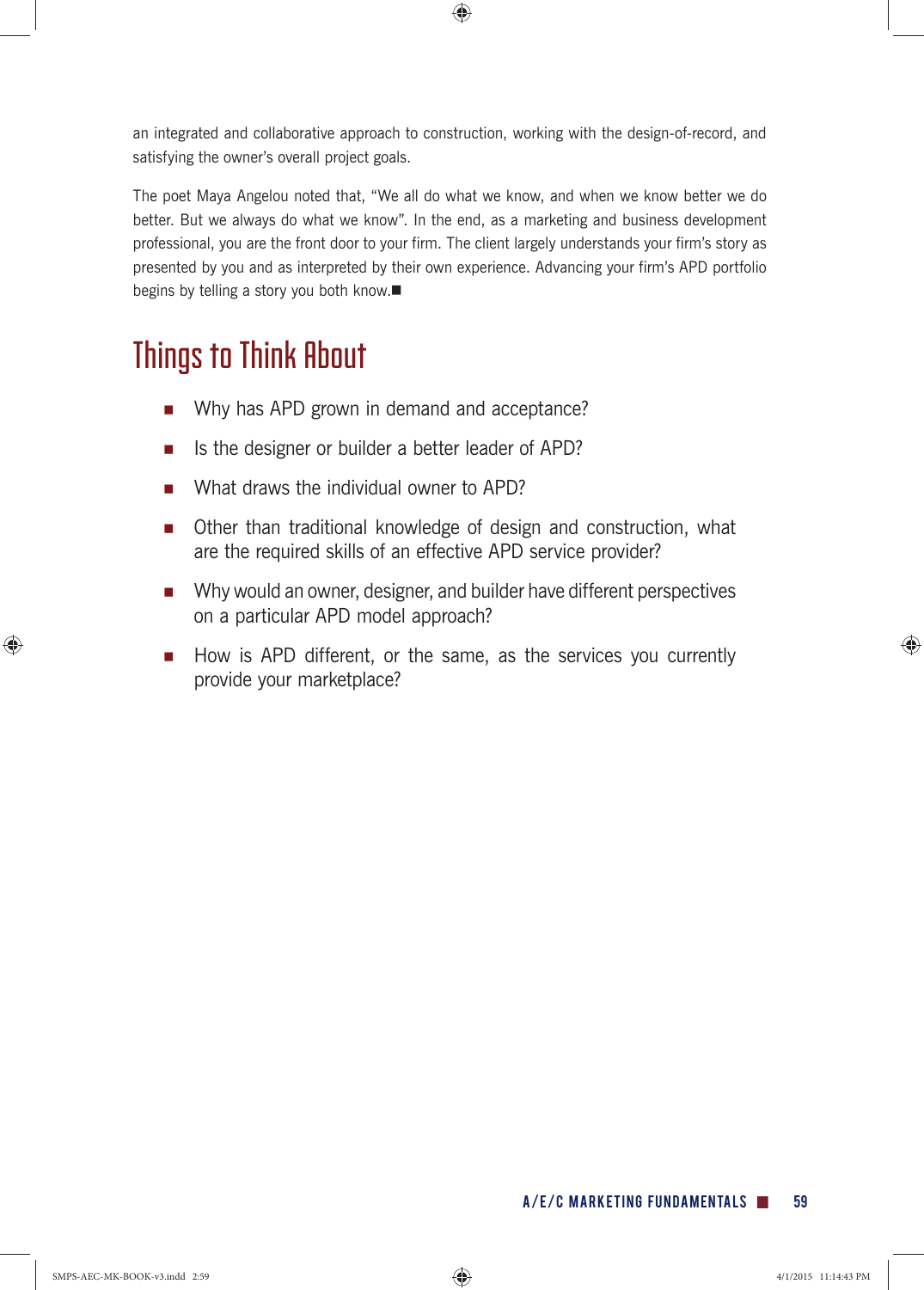an integrated and collaborative approach to construction, working with the design-of-record, and satisfying the owner's overall project goals.

⊕

The poet Maya Angelou noted that, "We all do what we know, and when we know better we do better. But we always do what we know". In the end, as a marketing and business development professional, you are the front door to your firm. The client largely understands your firm's story as presented by you and as interpreted by their own experience. Advancing your firm's APD portfolio begins by telling a story you both know.

# Things to Think About

- Why has APD grown in demand and acceptance?
- Is the designer or builder a better leader of APD?
- **No.** What draws the individual owner to APD?
- **Detect** Other than traditional knowledge of design and construction, what are the required skills of an effective APD service provider?
- Why would an owner, designer, and builder have different perspectives on a particular APD model approach?
- **How is APD different, or the same, as the services you currently** provide your marketplace?

#### A/E/C MARKETING FUNDAMENTALS 39

♠